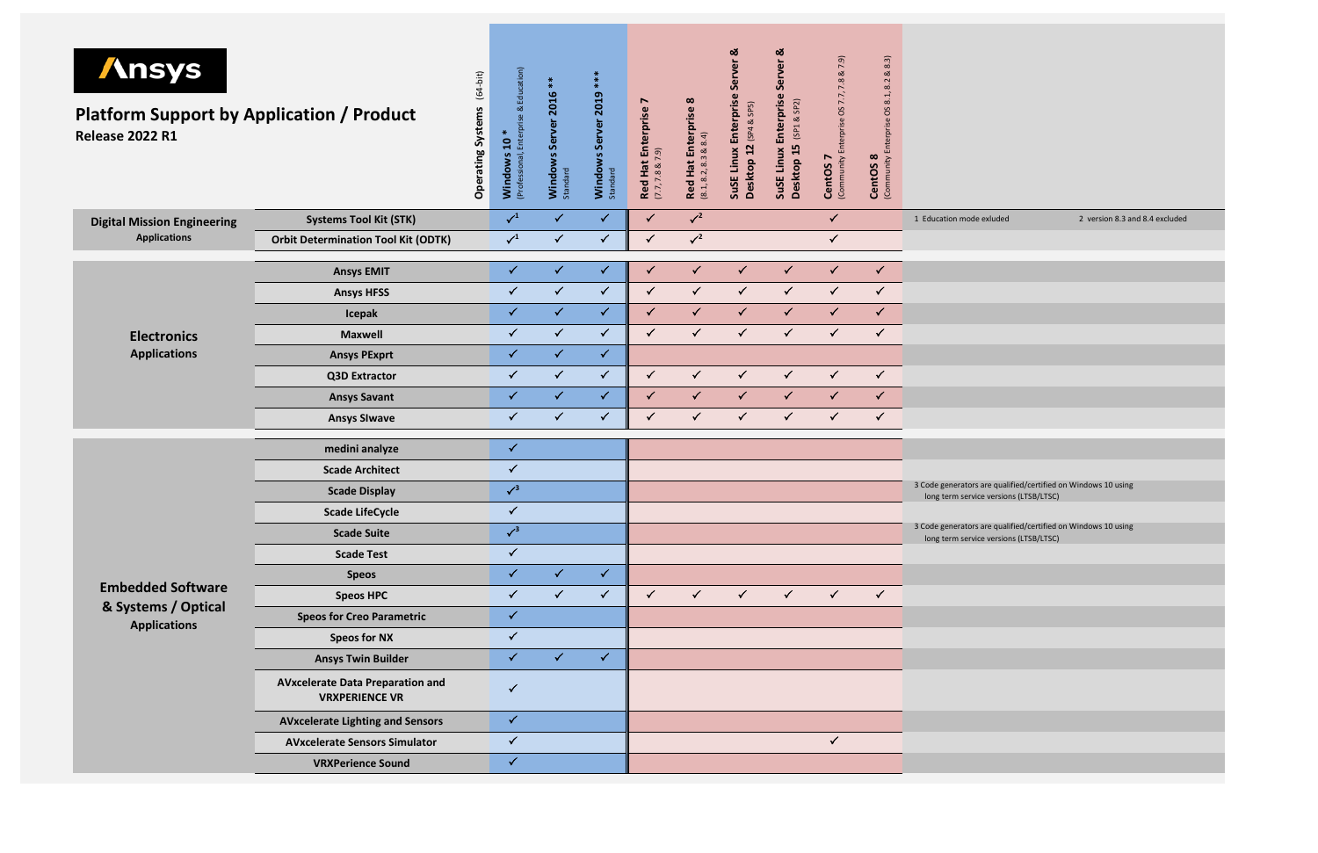| <b>Ansys</b><br><b>Platform Support by Application / Product</b><br><b>Release 2022 R1</b> |  | Operating Systems (64-bit)                                       | Education)<br><u>ನ</u><br>$10*$<br>Enterprise<br><b>Windows 1</b><br>(Professional, E | Windows Server 2016<br>Standard | ***<br>Windows Server 2019<br>Standard | Ņ<br><b>Red Hat Enterprise</b><br>$(7.7, 7.8 \& 7.9)$ | $\infty$<br>Red Hat Enterprise<br>(8.1, 8.2, 8.3 & 8.8.4) | ಹ<br>Server<br>Enterprise<br>(SP4 & SP5)<br>12<br>SuSE Linux<br>Desktop | Server <sub>&amp;</sub><br>Enterprise<br>(SP1 & SP2)<br>Desktop 15<br>SuSE Linux | 7.9)<br><b>∝</b><br>7.8<br>7.7,<br>SO<br>(Community Enterprise<br>CentOS <sub>7</sub> | 8.3)<br>ಷ<br>8.2<br>(Community Enterprise OS 8.1,<br>CentOS <sub>8</sub> |              |                                    |
|--------------------------------------------------------------------------------------------|--|------------------------------------------------------------------|---------------------------------------------------------------------------------------|---------------------------------|----------------------------------------|-------------------------------------------------------|-----------------------------------------------------------|-------------------------------------------------------------------------|----------------------------------------------------------------------------------|---------------------------------------------------------------------------------------|--------------------------------------------------------------------------|--------------|------------------------------------|
| <b>Digital Mission Engineering</b>                                                         |  | <b>Systems Tool Kit (STK)</b>                                    |                                                                                       | $\sqrt{1}$                      | $\checkmark$                           | $\checkmark$                                          | $\checkmark$                                              | $\sqrt{2}$                                                              |                                                                                  |                                                                                       | $\checkmark$                                                             |              | 1 Education mod                    |
| <b>Applications</b>                                                                        |  | <b>Orbit Determination Tool Kit (ODTK)</b>                       |                                                                                       | $\checkmark$ <sup>1</sup>       | $\checkmark$                           | $\checkmark$                                          | $\checkmark$                                              | $\sqrt{2}$                                                              |                                                                                  |                                                                                       | $\checkmark$                                                             |              |                                    |
|                                                                                            |  | <b>Ansys EMIT</b>                                                |                                                                                       | $\checkmark$                    | $\checkmark$                           | $\checkmark$                                          | $\checkmark$                                              | $\checkmark$                                                            | $\checkmark$                                                                     | $\checkmark$                                                                          | $\checkmark$                                                             | $\checkmark$ |                                    |
|                                                                                            |  | <b>Ansys HFSS</b>                                                |                                                                                       | $\checkmark$                    | $\checkmark$                           | $\checkmark$                                          | $\checkmark$                                              | $\checkmark$                                                            | $\checkmark$                                                                     | $\checkmark$                                                                          | $\checkmark$                                                             | $\checkmark$ |                                    |
|                                                                                            |  | Icepak                                                           |                                                                                       | $\checkmark$                    | $\checkmark$                           | $\checkmark$                                          | $\checkmark$                                              | $\checkmark$                                                            | $\checkmark$                                                                     | $\checkmark$                                                                          | $\checkmark$                                                             | $\checkmark$ |                                    |
| <b>Electronics</b>                                                                         |  | <b>Maxwell</b>                                                   |                                                                                       | $\checkmark$                    | $\checkmark$                           | $\checkmark$                                          | $\checkmark$                                              | $\checkmark$                                                            | $\checkmark$                                                                     | $\checkmark$                                                                          | $\checkmark$                                                             | $\checkmark$ |                                    |
| <b>Applications</b>                                                                        |  | <b>Ansys PExprt</b>                                              |                                                                                       | $\checkmark$                    | $\checkmark$                           | $\checkmark$                                          |                                                           |                                                                         |                                                                                  |                                                                                       |                                                                          |              |                                    |
|                                                                                            |  | <b>Q3D Extractor</b>                                             |                                                                                       | $\checkmark$                    | $\checkmark$                           | $\checkmark$                                          | $\checkmark$                                              | $\checkmark$                                                            | $\checkmark$                                                                     | $\checkmark$                                                                          | $\checkmark$                                                             | $\checkmark$ |                                    |
|                                                                                            |  | <b>Ansys Savant</b>                                              |                                                                                       | $\checkmark$                    | $\checkmark$                           | $\checkmark$                                          | $\checkmark$                                              | $\checkmark$                                                            | $\checkmark$                                                                     | $\checkmark$                                                                          | $\checkmark$                                                             | $\checkmark$ |                                    |
|                                                                                            |  | <b>Ansys SIwave</b>                                              |                                                                                       | $\checkmark$                    | $\checkmark$                           | $\checkmark$                                          | $\checkmark$                                              | $\checkmark$                                                            | $\checkmark$                                                                     | $\checkmark$                                                                          | $\checkmark$                                                             | $\checkmark$ |                                    |
|                                                                                            |  | medini analyze                                                   |                                                                                       | $\checkmark$                    |                                        |                                                       |                                                           |                                                                         |                                                                                  |                                                                                       |                                                                          |              |                                    |
|                                                                                            |  | <b>Scade Architect</b>                                           |                                                                                       | $\checkmark$                    |                                        |                                                       |                                                           |                                                                         |                                                                                  |                                                                                       |                                                                          |              |                                    |
|                                                                                            |  | <b>Scade Display</b>                                             |                                                                                       | $\sqrt{3}$                      |                                        |                                                       |                                                           |                                                                         |                                                                                  |                                                                                       |                                                                          |              | 3 Code generator<br>long term serv |
|                                                                                            |  | <b>Scade LifeCycle</b>                                           |                                                                                       | $\checkmark$                    |                                        |                                                       |                                                           |                                                                         |                                                                                  |                                                                                       |                                                                          |              |                                    |
|                                                                                            |  | <b>Scade Suite</b>                                               |                                                                                       | $\sqrt{3}$                      |                                        |                                                       |                                                           |                                                                         |                                                                                  |                                                                                       |                                                                          |              | 3 Code generator<br>long term serv |
|                                                                                            |  | <b>Scade Test</b>                                                |                                                                                       | $\checkmark$                    |                                        |                                                       |                                                           |                                                                         |                                                                                  |                                                                                       |                                                                          |              |                                    |
|                                                                                            |  | <b>Speos</b>                                                     |                                                                                       | $\checkmark$                    | $\checkmark$                           | $\checkmark$                                          |                                                           |                                                                         |                                                                                  |                                                                                       |                                                                          |              |                                    |
| <b>Embedded Software</b>                                                                   |  | <b>Speos HPC</b>                                                 |                                                                                       | $\checkmark$                    | $\checkmark$                           | $\checkmark$                                          | $\checkmark$                                              | $\checkmark$                                                            | $\checkmark$                                                                     | $\checkmark$                                                                          | $\checkmark$                                                             | $\checkmark$ |                                    |
| & Systems / Optical                                                                        |  | <b>Speos for Creo Parametric</b>                                 |                                                                                       | $\checkmark$                    |                                        |                                                       |                                                           |                                                                         |                                                                                  |                                                                                       |                                                                          |              |                                    |
| <b>Applications</b>                                                                        |  | <b>Speos for NX</b>                                              |                                                                                       | $\checkmark$                    |                                        |                                                       |                                                           |                                                                         |                                                                                  |                                                                                       |                                                                          |              |                                    |
|                                                                                            |  | <b>Ansys Twin Builder</b>                                        |                                                                                       | $\checkmark$                    | $\checkmark$                           | $\checkmark$                                          |                                                           |                                                                         |                                                                                  |                                                                                       |                                                                          |              |                                    |
|                                                                                            |  | <b>AVxcelerate Data Preparation and</b><br><b>VRXPERIENCE VR</b> |                                                                                       | $\checkmark$                    |                                        |                                                       |                                                           |                                                                         |                                                                                  |                                                                                       |                                                                          |              |                                    |
|                                                                                            |  | <b>AVxcelerate Lighting and Sensors</b>                          |                                                                                       | $\checkmark$                    |                                        |                                                       |                                                           |                                                                         |                                                                                  |                                                                                       |                                                                          |              |                                    |
|                                                                                            |  | <b>AVxcelerate Sensors Simulator</b>                             |                                                                                       | $\checkmark$                    |                                        |                                                       |                                                           |                                                                         |                                                                                  |                                                                                       | $\checkmark$                                                             |              |                                    |
|                                                                                            |  | <b>VRXPerience Sound</b>                                         |                                                                                       | $\checkmark$                    |                                        |                                                       |                                                           |                                                                         |                                                                                  |                                                                                       |                                                                          |              |                                    |

1 Education mode exluded 2 version 8.3 and 8.4 excluded

rs are qualified/certified on Windows 10 using vice versions (LTSB/LTSC)

rs are qualified/certified on Windows 10 using vice versions (LTSB/LTSC)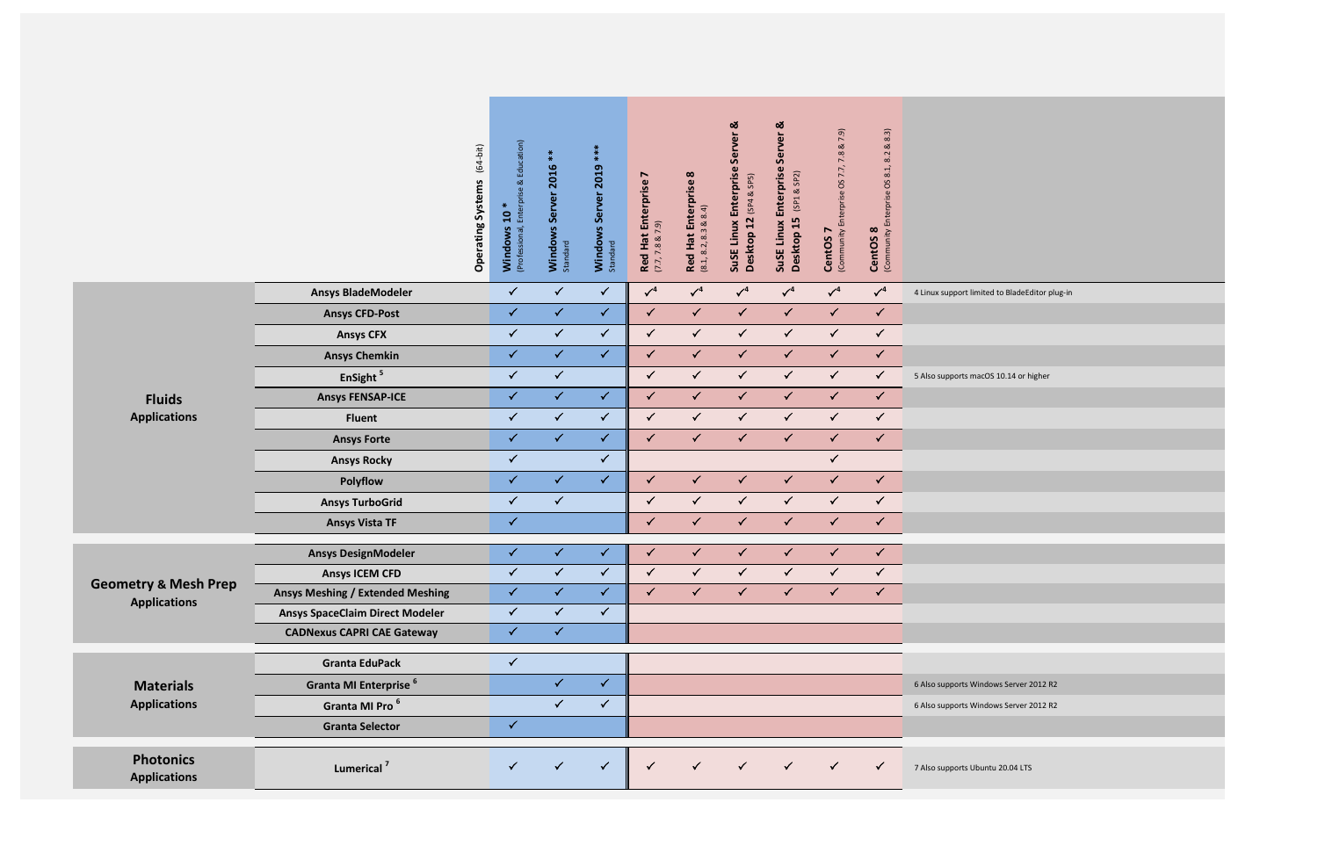|                                         |                                         | $(64-bit)$<br><b>Operating Systems</b> | Education)<br>∝<br>Ĕρ<br>$\ast$<br>Enter<br>$\mathbf{c}$<br>(Professional,<br>Windows | $*$<br>Server 2016<br>Windows<br>Standard | $**$<br>Windows Server 2019<br>Standard | r<br><b>Red Hat Enterprise</b><br>(7.7, 7.8 & 7.9) | Enterprise 8<br>& 8.4)<br><b>Red Hat E</b><br>$(8.1, 8.2, 8.3)$ | Enterprise Server &<br>(SP4 & SP5)<br>Desktop 12<br>SuSE Linux | <u>ಯ</u><br>Server<br>Enterprise<br>(SP1 & SP2)<br>Desktop 15<br>Linux<br><b>SuSE</b> | & 7.9)<br>7.8<br>(Community Enterprise OS 7.7,<br>N<br><b>CentOS</b> | $8.3$<br>8.2<br>(Community Enterprise OS 8.1,<br>$\infty$<br><b>CentOS</b> |                                            |
|-----------------------------------------|-----------------------------------------|----------------------------------------|---------------------------------------------------------------------------------------|-------------------------------------------|-----------------------------------------|----------------------------------------------------|-----------------------------------------------------------------|----------------------------------------------------------------|---------------------------------------------------------------------------------------|----------------------------------------------------------------------|----------------------------------------------------------------------------|--------------------------------------------|
|                                         | <b>Ansys BladeModeler</b>               |                                        | $\checkmark$                                                                          | $\checkmark$                              | $\checkmark$                            | $\sqrt{4}$                                         | $\sqrt{4}$                                                      | $\sqrt{4}$                                                     | $\sqrt{4}$                                                                            | $\sqrt{4}$                                                           | $\sqrt{4}$                                                                 | 4 Linux support limited to BladeEditor plu |
|                                         | <b>Ansys CFD-Post</b>                   |                                        | $\checkmark$                                                                          | $\checkmark$                              | $\checkmark$                            | $\checkmark$                                       | $\checkmark$                                                    | $\checkmark$                                                   | $\checkmark$                                                                          | $\checkmark$                                                         | $\checkmark$                                                               |                                            |
|                                         | <b>Ansys CFX</b>                        |                                        | $\checkmark$                                                                          | $\checkmark$                              | $\checkmark$                            | $\checkmark$                                       | $\checkmark$                                                    | $\checkmark$                                                   | $\checkmark$                                                                          | $\checkmark$                                                         | $\checkmark$                                                               |                                            |
|                                         | <b>Ansys Chemkin</b>                    |                                        | $\checkmark$                                                                          | $\checkmark$                              | $\checkmark$                            | $\checkmark$                                       | $\checkmark$                                                    | $\checkmark$                                                   | $\checkmark$                                                                          | $\checkmark$                                                         | $\checkmark$                                                               |                                            |
|                                         | EnSight <sup>5</sup>                    |                                        | $\checkmark$                                                                          | $\checkmark$                              |                                         | $\checkmark$                                       | $\checkmark$                                                    | $\checkmark$                                                   | $\checkmark$                                                                          | $\checkmark$                                                         | $\checkmark$                                                               | 5 Also supports macOS 10.14 or higher      |
| <b>Fluids</b><br><b>Applications</b>    | <b>Ansys FENSAP-ICE</b>                 |                                        | $\checkmark$                                                                          | $\checkmark$                              | $\checkmark$                            | $\checkmark$                                       | $\checkmark$                                                    | $\checkmark$                                                   | $\checkmark$                                                                          | $\checkmark$                                                         | $\checkmark$                                                               |                                            |
|                                         | <b>Fluent</b>                           |                                        | $\checkmark$                                                                          | $\checkmark$                              | $\checkmark$                            | $\checkmark$                                       | $\checkmark$                                                    | $\checkmark$                                                   | $\checkmark$                                                                          | $\checkmark$                                                         | $\checkmark$                                                               |                                            |
|                                         | <b>Ansys Forte</b>                      |                                        | $\checkmark$                                                                          | $\checkmark$                              | $\checkmark$                            | $\checkmark$                                       | $\checkmark$                                                    | $\checkmark$                                                   | $\checkmark$                                                                          | $\checkmark$                                                         | $\checkmark$                                                               |                                            |
|                                         | <b>Ansys Rocky</b>                      |                                        | $\checkmark$                                                                          |                                           | $\checkmark$                            |                                                    |                                                                 |                                                                |                                                                                       | $\checkmark$                                                         |                                                                            |                                            |
|                                         | <b>Polyflow</b>                         |                                        | $\checkmark$                                                                          | $\checkmark$                              | $\checkmark$                            | $\checkmark$                                       | $\checkmark$                                                    | $\checkmark$                                                   | $\checkmark$                                                                          | $\checkmark$                                                         | $\checkmark$                                                               |                                            |
|                                         | <b>Ansys TurboGrid</b>                  |                                        | $\checkmark$                                                                          | $\checkmark$                              |                                         | $\checkmark$                                       | $\checkmark$                                                    | ✓                                                              | ✓                                                                                     | $\sqrt{2}$                                                           | $\checkmark$                                                               |                                            |
|                                         | <b>Ansys Vista TF</b>                   |                                        | $\checkmark$                                                                          |                                           |                                         | $\checkmark$                                       | ✓                                                               | ✓                                                              | ✓                                                                                     | $\checkmark$                                                         | $\checkmark$                                                               |                                            |
|                                         | <b>Ansys DesignModeler</b>              |                                        | $\checkmark$                                                                          | ✓                                         | $\checkmark$                            | $\checkmark$                                       | $\checkmark$                                                    | $\checkmark$                                                   | ✓                                                                                     | $\checkmark$                                                         | $\checkmark$                                                               |                                            |
|                                         | <b>Ansys ICEM CFD</b>                   |                                        | $\checkmark$                                                                          | $\checkmark$                              | $\checkmark$                            | $\checkmark$                                       | $\checkmark$                                                    | $\checkmark$                                                   | $\checkmark$                                                                          | $\checkmark$                                                         | $\checkmark$                                                               |                                            |
| <b>Geometry &amp; Mesh Prep</b>         | <b>Ansys Meshing / Extended Meshing</b> |                                        | $\checkmark$                                                                          | $\checkmark$                              | $\checkmark$                            | $\checkmark$                                       | $\checkmark$                                                    | $\checkmark$                                                   | $\checkmark$                                                                          | $\checkmark$                                                         | $\checkmark$                                                               |                                            |
| <b>Applications</b>                     | <b>Ansys SpaceClaim Direct Modeler</b>  |                                        | $\checkmark$                                                                          | $\checkmark$                              | $\checkmark$                            |                                                    |                                                                 |                                                                |                                                                                       |                                                                      |                                                                            |                                            |
|                                         | <b>CADNexus CAPRI CAE Gateway</b>       |                                        | $\checkmark$                                                                          | $\checkmark$                              |                                         |                                                    |                                                                 |                                                                |                                                                                       |                                                                      |                                                                            |                                            |
|                                         |                                         |                                        | $\checkmark$                                                                          |                                           |                                         |                                                    |                                                                 |                                                                |                                                                                       |                                                                      |                                                                            |                                            |
| <b>Materials</b><br><b>Applications</b> | <b>Granta EduPack</b>                   |                                        |                                                                                       | $\checkmark$                              | $\checkmark$                            |                                                    |                                                                 |                                                                |                                                                                       |                                                                      |                                                                            |                                            |
|                                         | Granta MI Enterprise <sup>6</sup>       |                                        |                                                                                       | $\checkmark$                              | $\checkmark$                            |                                                    |                                                                 |                                                                |                                                                                       |                                                                      |                                                                            | 6 Also supports Windows Server 2012 R2     |
|                                         | Granta MI Pro <sup>6</sup>              |                                        |                                                                                       |                                           |                                         |                                                    |                                                                 |                                                                |                                                                                       |                                                                      |                                                                            | 6 Also supports Windows Server 2012 R2     |
|                                         | <b>Granta Selector</b>                  |                                        | $\checkmark$                                                                          |                                           |                                         |                                                    |                                                                 |                                                                |                                                                                       |                                                                      |                                                                            |                                            |
| <b>Photonics</b><br><b>Applications</b> | Lumerical <sup>7</sup>                  |                                        | $\checkmark$                                                                          | $\checkmark$                              | $\checkmark$                            | $\checkmark$                                       | $\checkmark$                                                    | ✓                                                              | $\checkmark$                                                                          | $\checkmark$                                                         | $\checkmark$                                                               | 7 Also supports Ubuntu 20.04 LTS           |

rt limited to BladeEditor plug-in **Examber Ending 20.14** or higher ts Ubuntu 20.04 LTS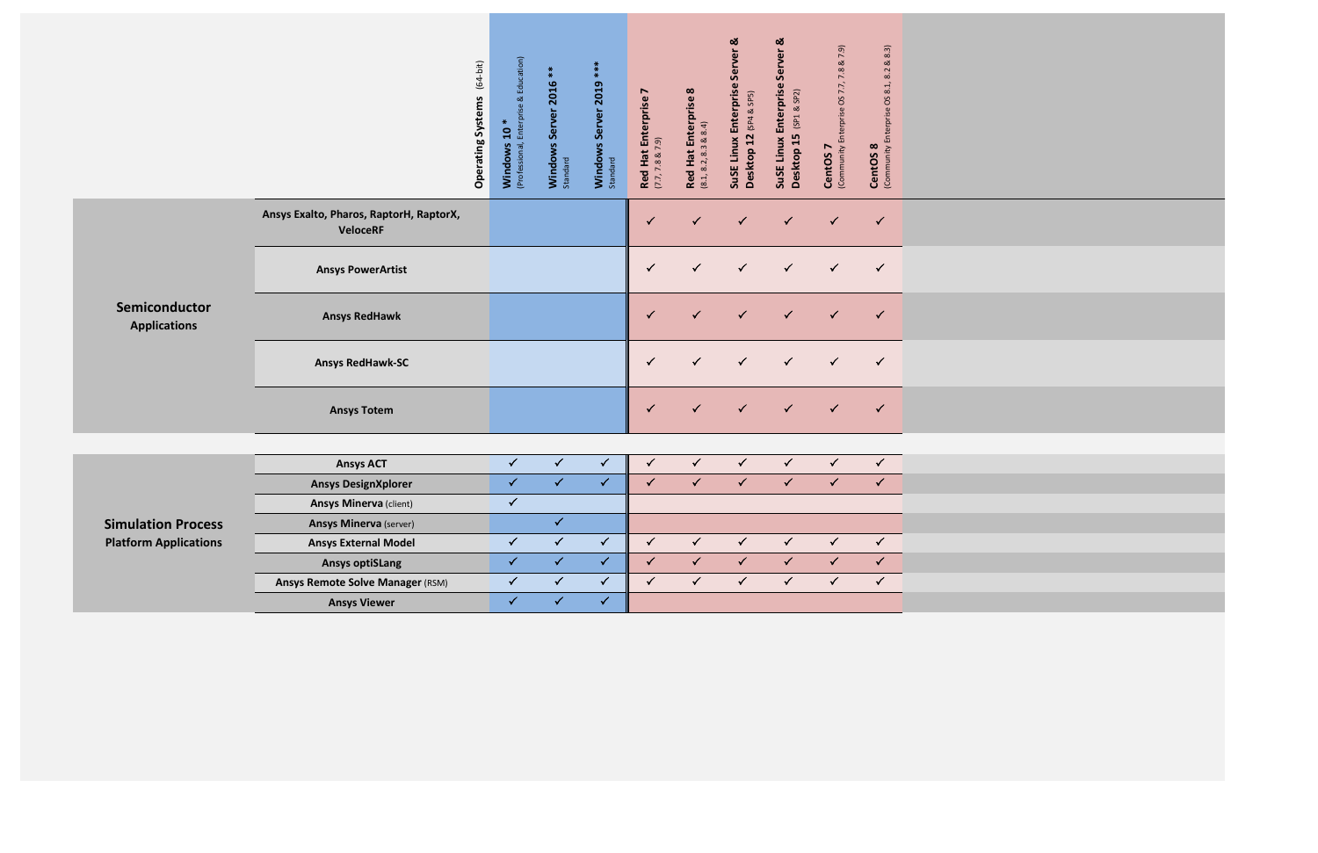|                                      |                                                            | $(64-bit)$<br><b>Operating Systems</b> | Education)<br>Enterprise &<br>$\ast$<br>$\overline{a}$<br>(Professional,<br>Windows | Windows Server 2016<br>Standard | $*$<br>$*$<br>Windows Server 2019<br>Standard | N<br><b>Red Hat Enterprise</b><br>(7.7, 7.8 & 7.9) | Red Hat Enterprise 8<br>(8.1, 8.2, 8.3 & 8.4) | SuSE Linux Enterprise Server &<br>Desktop 12 (SP4 & SP5) | ಹ<br>Server<br>Enterprise<br>(SP1 & SP2)<br>15<br>SuSE Linux<br>Desktop | 7.8 & 7.9)<br>(Community Enterprise OS 7.7,<br>CentOS <sub>7</sub> | 8.3)<br>ಹ<br>8.2<br>8.1,<br><b>CentOS 8</b><br>(Community Enterprise OS |  |
|--------------------------------------|------------------------------------------------------------|----------------------------------------|-------------------------------------------------------------------------------------|---------------------------------|-----------------------------------------------|----------------------------------------------------|-----------------------------------------------|----------------------------------------------------------|-------------------------------------------------------------------------|--------------------------------------------------------------------|-------------------------------------------------------------------------|--|
|                                      | Ansys Exalto, Pharos, RaptorH, RaptorX,<br><b>VeloceRF</b> |                                        |                                                                                     |                                 |                                               | $\checkmark$                                       | $\checkmark$                                  | $\checkmark$                                             | $\checkmark$                                                            | $\checkmark$                                                       | $\checkmark$                                                            |  |
|                                      | <b>Ansys PowerArtist</b>                                   |                                        |                                                                                     |                                 |                                               | $\checkmark$                                       | $\checkmark$                                  | $\checkmark$                                             | $\checkmark$                                                            | $\checkmark$                                                       | $\checkmark$                                                            |  |
| Semiconductor<br><b>Applications</b> | <b>Ansys RedHawk</b>                                       |                                        |                                                                                     |                                 |                                               | $\checkmark$                                       | $\checkmark$                                  | $\checkmark$                                             | $\checkmark$                                                            | $\checkmark$                                                       | $\checkmark$                                                            |  |
|                                      | <b>Ansys RedHawk-SC</b>                                    |                                        |                                                                                     |                                 |                                               | $\checkmark$                                       | ✓                                             | $\checkmark$                                             | $\checkmark$                                                            | $\checkmark$                                                       | $\checkmark$                                                            |  |
|                                      | <b>Ansys Totem</b>                                         |                                        |                                                                                     |                                 |                                               | $\checkmark$                                       | $\checkmark$                                  | $\checkmark$                                             | $\checkmark$                                                            | $\checkmark$                                                       | $\checkmark$                                                            |  |
|                                      |                                                            |                                        |                                                                                     |                                 |                                               |                                                    |                                               |                                                          |                                                                         |                                                                    |                                                                         |  |
|                                      | <b>Ansys ACT</b>                                           |                                        | $\checkmark$                                                                        | $\checkmark$                    | $\checkmark$                                  | $\checkmark$                                       | $\checkmark$                                  | $\checkmark$                                             | $\checkmark$                                                            | $\checkmark$                                                       | $\checkmark$                                                            |  |
|                                      | <b>Ansys DesignXplorer</b>                                 |                                        | $\checkmark$                                                                        | $\checkmark$                    | $\checkmark$                                  | $\checkmark$                                       | $\checkmark$                                  | $\checkmark$                                             | $\checkmark$                                                            | $\checkmark$                                                       | $\checkmark$                                                            |  |
|                                      | <b>Ansys Minerva (client)</b>                              |                                        | $\checkmark$                                                                        |                                 |                                               |                                                    |                                               |                                                          |                                                                         |                                                                    |                                                                         |  |
| <b>Simulation Process</b>            | <b>Ansys Minerva</b> (server)                              |                                        |                                                                                     | $\checkmark$                    |                                               |                                                    |                                               |                                                          |                                                                         |                                                                    |                                                                         |  |
| <b>Platform Applications</b>         | <b>Ansys External Model</b>                                |                                        | $\checkmark$                                                                        | $\checkmark$                    | $\checkmark$                                  | $\checkmark$                                       | $\checkmark$                                  | $\checkmark$                                             | $\checkmark$                                                            | $\checkmark$                                                       | $\checkmark$                                                            |  |
|                                      | <b>Ansys optiSLang</b>                                     |                                        | $\checkmark$                                                                        | $\checkmark$                    | $\checkmark$                                  | $\checkmark$                                       | $\checkmark$                                  | $\checkmark$                                             | $\checkmark$                                                            | $\checkmark$                                                       | $\checkmark$                                                            |  |
|                                      | <b>Ansys Remote Solve Manager (RSM)</b>                    |                                        | $\checkmark$                                                                        | $\checkmark$                    | $\checkmark$                                  | $\checkmark$                                       | $\checkmark$                                  | $\checkmark$                                             | $\checkmark$                                                            | $\checkmark$                                                       | $\checkmark$                                                            |  |
|                                      | <b>Ansys Viewer</b>                                        |                                        | $\checkmark$                                                                        | $\checkmark$                    | $\checkmark$                                  |                                                    |                                               |                                                          |                                                                         |                                                                    |                                                                         |  |